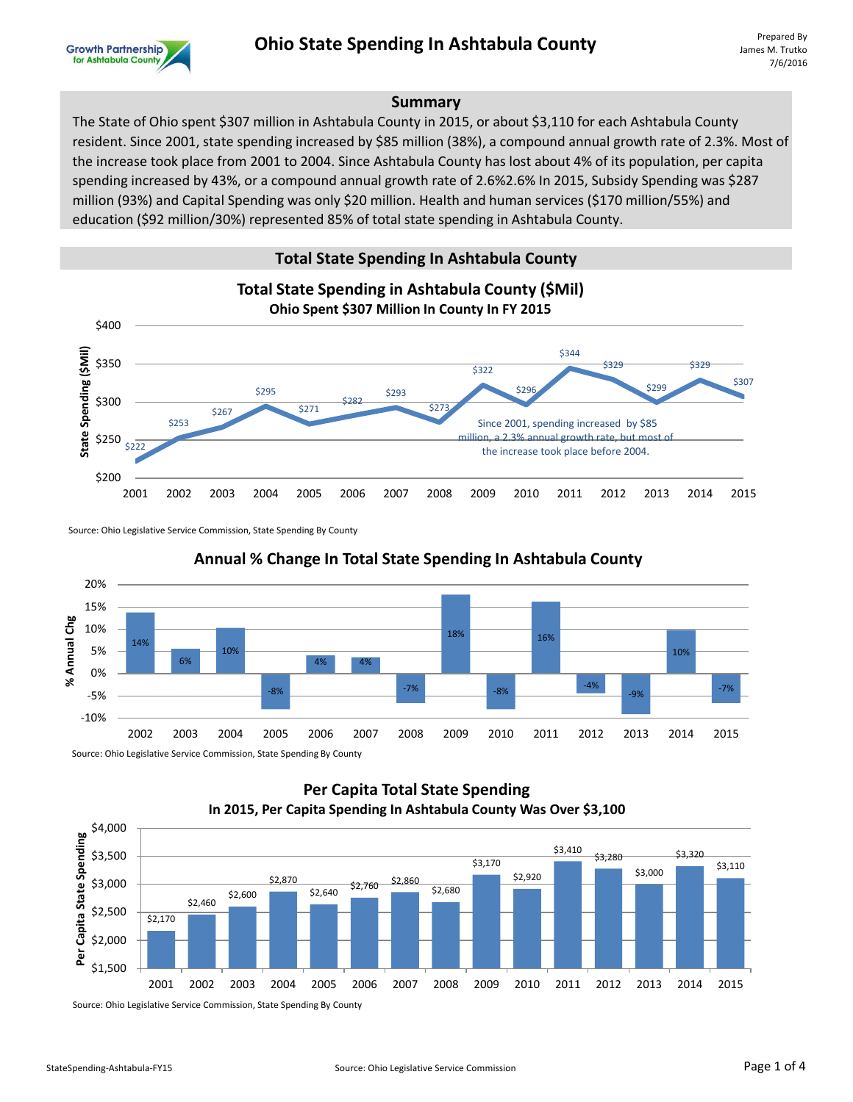

James M. Trutko 7/6/2016

### **Summary**

The State of Ohio spent \$307 million in Ashtabula County in 2015, or about \$3,110 for each Ashtabula County resident. Since 2001, state spending increased by \$85 million (38%), a compound annual growth rate of 2.3%. Most of the increase took place from 2001 to 2004. Since Ashtabula County has lost about 4% of its population, per capita spending increased by 43%, or a compound annual growth rate of 2.6%2.6% In 2015, Subsidy Spending was \$287 million (93%) and Capital Spending was only \$20 million. Health and human services (\$170 million/55%) and education (\$92 million/30%) represented 85% of total state spending in Ashtabula County.

## **Total State Spending In Ashtabula County**



Source: Ohio Legislative Service Commission, State Spending By County



## **Annual % Change In Total State Spending In Ashtabula County**

## **Per Capita Total State Spending In 2015, Per Capita Spending In Ashtabula County Was Over \$3,100**



Source: Ohio Legislative Service Commission, State Spending By County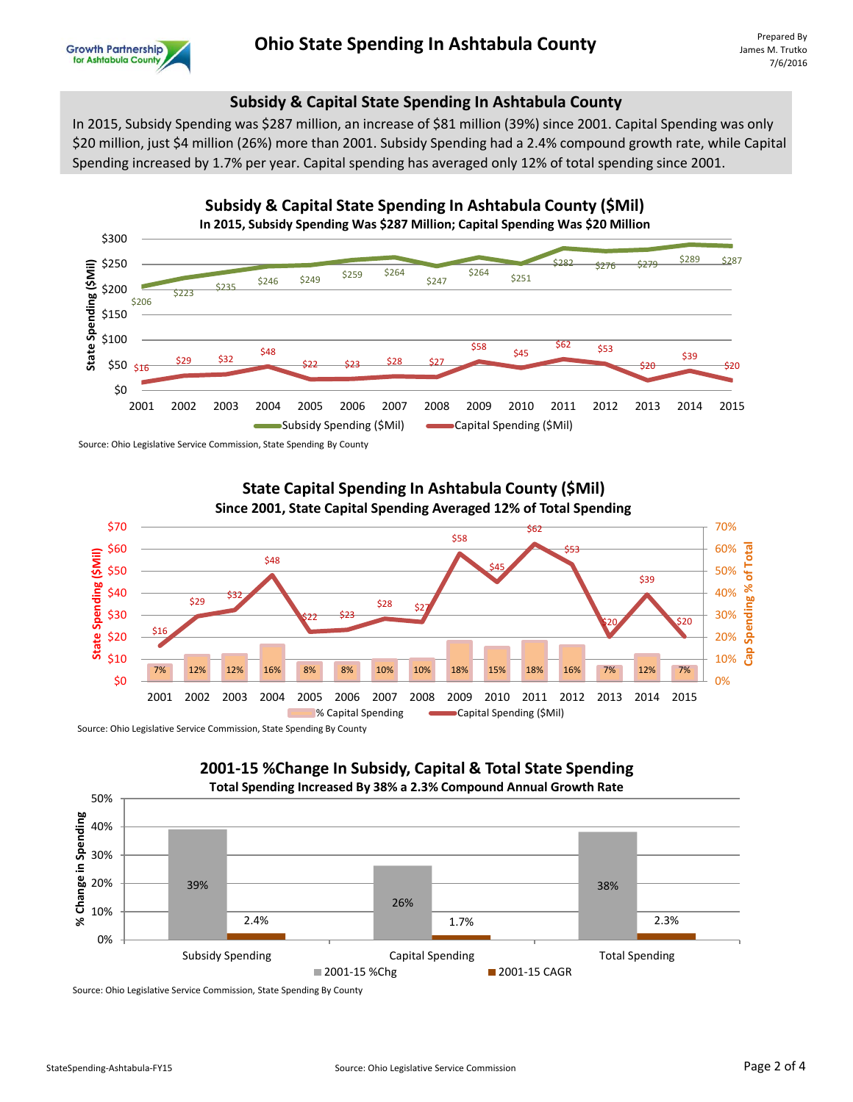

# **Ohio State Spending In Ashtabula County**

## **Subsidy & Capital State Spending In Ashtabula County**

In 2015, Subsidy Spending was \$287 million, an increase of \$81 million (39%) since 2001. Capital Spending was only \$20 million, just \$4 million (26%) more than 2001. Subsidy Spending had a 2.4% compound growth rate, while Capital Spending increased by 1.7% per year. Capital spending has averaged only 12% of total spending since 2001.



Source: Ohio Legislative Service Commission, State Spending By County

**State Capital Spending In Ashtabula County (\$Mil) Since 2001, State Capital Spending Averaged 12% of Total Spending**  \$70 70% \$62 \$58 \$60 60% **Rad Cap Spending % of Total** \$53 State Spending (\$Mil) **State Spending (\$Mil)** \$48 \$45 \$50 50% ቴ \$39 \$40 40% \$29  $$28 \t 5$ \$30 30%  $$22$   $$23$ Spend \$20 \$20 \$16 \$20 20% ဒီ \$10 10% 7% 12% 12% 16% 8% 8% 10% 10% 18% 15% 18% 16% 7% 12% 7% \$0 0% 2001 2002 2003 2004 2005 2006 2007 2008 2009 2010 2011 2012 2013 2014 2015 % Capital Spending **Capital Spending (\$Mil)** 

Source: Ohio Legislative Service Commission, State Spending By County



Source: Ohio Legislative Service Commission, State Spending By County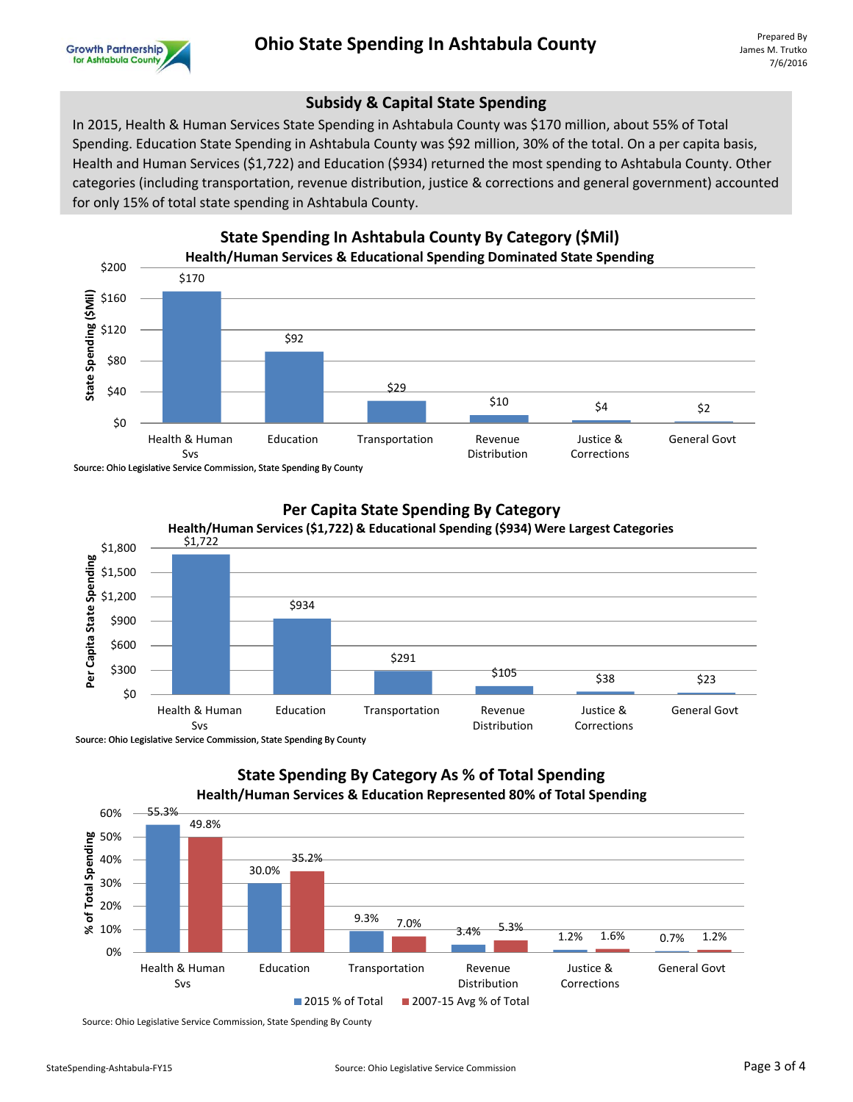

## **Subsidy & Capital State Spending**

In 2015, Health & Human Services State Spending in Ashtabula County was \$170 million, about 55% of Total Spending. Education State Spending in Ashtabula County was \$92 million, 30% of the total. On a per capita basis, Health and Human Services (\$1,722) and Education (\$934) returned the most spending to Ashtabula County. Other categories (including transportation, revenue distribution, justice & corrections and general government) accounted for only 15% of total state spending in Ashtabula County.



Source: Ohio Legislative Service Commission, State Spending By County



#### **Per Capita State Spending By Category**

Source: Ohio Legislative Service Commission, State Spending By County

## **State Spending By Category As % of Total Spending Health/Human Services & Education Represented 80% of Total Spending**



Source: Ohio Legislative Service Commission, State Spending By County